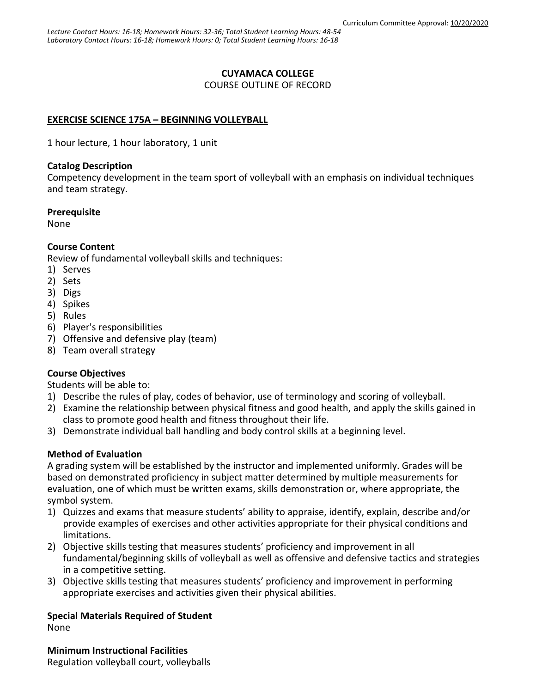## **CUYAMACA COLLEGE**

COURSE OUTLINE OF RECORD

## **EXERCISE SCIENCE 175A – BEGINNING VOLLEYBALL**

1 hour lecture, 1 hour laboratory, 1 unit

### **Catalog Description**

Competency development in the team sport of volleyball with an emphasis on individual techniques and team strategy.

### **Prerequisite**

None

## **Course Content**

Review of fundamental volleyball skills and techniques:

- 1) Serves
- 2) Sets
- 3) Digs
- 4) Spikes
- 5) Rules
- 6) Player's responsibilities
- 7) Offensive and defensive play (team)
- 8) Team overall strategy

# **Course Objectives**

Students will be able to:

- 1) Describe the rules of play, codes of behavior, use of terminology and scoring of volleyball.
- 2) Examine the relationship between physical fitness and good health, and apply the skills gained in class to promote good health and fitness throughout their life.
- 3) Demonstrate individual ball handling and body control skills at a beginning level.

## **Method of Evaluation**

A grading system will be established by the instructor and implemented uniformly. Grades will be based on demonstrated proficiency in subject matter determined by multiple measurements for evaluation, one of which must be written exams, skills demonstration or, where appropriate, the symbol system.

- 1) Quizzes and exams that measure students' ability to appraise, identify, explain, describe and/or provide examples of exercises and other activities appropriate for their physical conditions and limitations.
- 2) Objective skills testing that measures students' proficiency and improvement in all fundamental/beginning skills of volleyball as well as offensive and defensive tactics and strategies in a competitive setting.
- 3) Objective skills testing that measures students' proficiency and improvement in performing appropriate exercises and activities given their physical abilities.

# **Special Materials Required of Student**

None

**Minimum Instructional Facilities** Regulation volleyball court, volleyballs